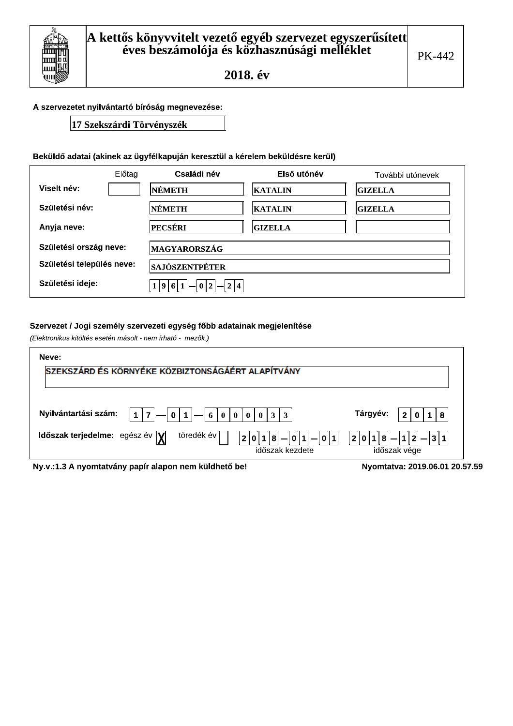### A szervezetet nyilvántartó bíróság megnevezése:

17 Szekszárdi Törvényszék

## Beküldő adatai (akinek az ügyfélkapuján keresztül a kérelem beküldésre kerül)

|                           | Előtag | Családi név                       | Első utónév    | További utónevek |
|---------------------------|--------|-----------------------------------|----------------|------------------|
| Viselt név:               |        | NÉMETH                            | <b>KATALIN</b> | <b>GIZELLA</b>   |
| Születési név:            |        | NÉMETH                            | <b>KATALIN</b> | <b>GIZELLA</b>   |
| Anyja neve:               |        | <b>PECSÉRI</b>                    | <b>GIZELLA</b> |                  |
| Születési ország neve:    |        | <b>MAGYARORSZÁG</b>               |                |                  |
| Születési település neve: |        | <b>SAJÓSZENTPÉTER</b>             |                |                  |
| Születési ideje:          |        | $-2$  4<br>$ - 0 2 $<br>1 9 <br>6 |                |                  |

### Szervezet / Jogi személy szervezeti egység főbb adatainak megjelenítése

(Elektronikus kitöltés esetén másolt - nem írható - mezők.)

| Neve:                                                                                          |                                                                                                           |
|------------------------------------------------------------------------------------------------|-----------------------------------------------------------------------------------------------------------|
| SZEKSZÁRD ÉS KÖRNYÉKE KÖZBIZTONSÁGÁÉRT ALAPÍTVÁNY                                              |                                                                                                           |
|                                                                                                |                                                                                                           |
| Nyilvántartási szám:<br>$\vert 0 \vert$<br>$\vert 0 \vert 3 \vert 3$<br>$\mathbf{1}$<br>$6000$ | Tárgyév:<br>8<br>2                                                                                        |
| töredék év<br>Időszak terjedelme: egész év $\overline{\mathbf{Y}}$<br>2 <sup>1</sup>           | $ 1 2 $ $  3 1 $<br>$ 0 1 $ $-$<br>  0    1<br> 2 0 1 <br>8<br>8 <sup>1</sup><br>$\overline{\phantom{a}}$ |
|                                                                                                | időszak vége<br>időszak kezdete                                                                           |
| Ny.v.:1.3 A nyomtatvány papír alapon nem küldhető be!                                          | Nyomtatva: 2019.06.01 20.57.59                                                                            |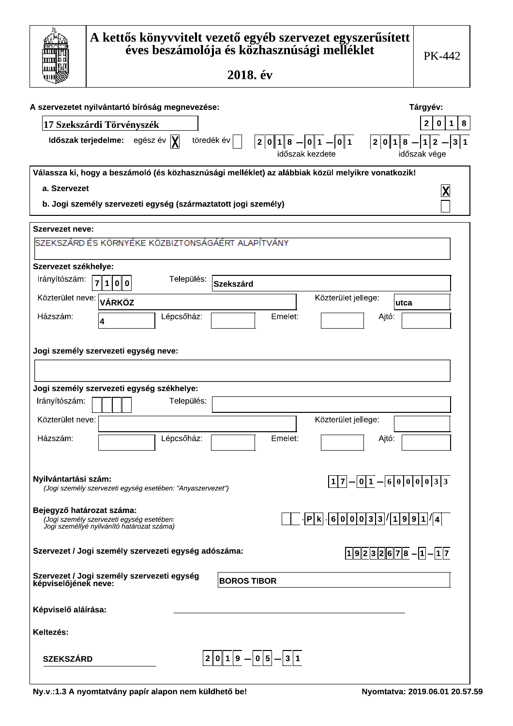|                           | A kettős könyvvitelt vezető egyéb szervezet egyszerűsített<br>éves beszámolója és közhasznúsági melléklet<br>2018. év                                    | PK-442                                                |
|---------------------------|----------------------------------------------------------------------------------------------------------------------------------------------------------|-------------------------------------------------------|
|                           | A szervezetet nyilvántartó bíróság megnevezése:                                                                                                          | Tárgyév:                                              |
|                           | 17 Szekszárdi Törvényszék                                                                                                                                | 8<br>$\mathbf{1}$<br>2<br>0                           |
| Időszak terjedelme:       | egész év  X <br>töredék év<br>${\bf 8}$<br>2 0 1 8<br>$ 0 1 $ $  0 1 $<br>2 0 1 <br>időszak kezdete                                                      | 3 1<br>$\mathbf{1}$<br>$\overline{2}$<br>időszak vége |
|                           | Válassza ki, hogy a beszámoló (és közhasznúsági melléklet) az alábbiak közül melyikre vonatkozik!                                                        |                                                       |
| a. Szervezet              |                                                                                                                                                          |                                                       |
|                           | b. Jogi személy szervezeti egység (származtatott jogi személy)                                                                                           |                                                       |
| <b>Szervezet neve:</b>    |                                                                                                                                                          |                                                       |
|                           | SZEKSZÁRD ÉS KÖRNYÉKE KÖZBIZTONSÁGÁÉRT ALAPÍTVÁNY                                                                                                        |                                                       |
| Szervezet székhelye:      |                                                                                                                                                          |                                                       |
| Irányítószám:             | Település:<br>$\overline{7}$<br>1 0 0<br><b>Szekszárd</b>                                                                                                |                                                       |
| Közterület neve:          | Közterület jellege:<br><b>VÁRKÖZ</b><br>lutca                                                                                                            |                                                       |
| Házszám:                  | Lépcsőház:<br>Emelet:<br>Ajtó:                                                                                                                           |                                                       |
|                           | 4                                                                                                                                                        |                                                       |
|                           | Jogi személy szervezeti egység neve:                                                                                                                     |                                                       |
|                           |                                                                                                                                                          |                                                       |
|                           |                                                                                                                                                          |                                                       |
| Irányítószám:             | Jogi személy szervezeti egység székhelye:<br>Település:                                                                                                  |                                                       |
|                           |                                                                                                                                                          |                                                       |
| Közterület neve:          | Közterület jellege:                                                                                                                                      |                                                       |
| Házszám:                  | Lépcsőház:<br>Emelet:<br>Ajtó:                                                                                                                           |                                                       |
|                           |                                                                                                                                                          |                                                       |
| Nyilvántartási szám:      | 0 1 <br>1 7 <br>(Jogi személy szervezeti egység esetében: "Anyaszervezet")                                                                               | $-60000033$                                           |
| Bejegyző határozat száma: | $\cdot$  6 0 0 0 3 3  $\sqrt{19991}/4$  <br>$ {\sf P} $ k $ $<br>(Jogi személy szervezeti egység esetében:<br>Jogi személlyé nyilvánító határozat száma) |                                                       |
|                           | Szervezet / Jogi személy szervezeti egység adószáma:<br>$19232678-1-17$                                                                                  |                                                       |
| képviselőjének neve:      | Szervezet / Jogi személy szervezeti egység<br><b>BOROS TIBOR</b>                                                                                         |                                                       |
| Képviselő aláírása:       |                                                                                                                                                          |                                                       |
| Keltezés:                 |                                                                                                                                                          |                                                       |
| <b>SZEKSZÁRD</b>          | $2 0 1 9 - 0 5 -3 1$                                                                                                                                     |                                                       |

 $\sqrt{ }$ 

٦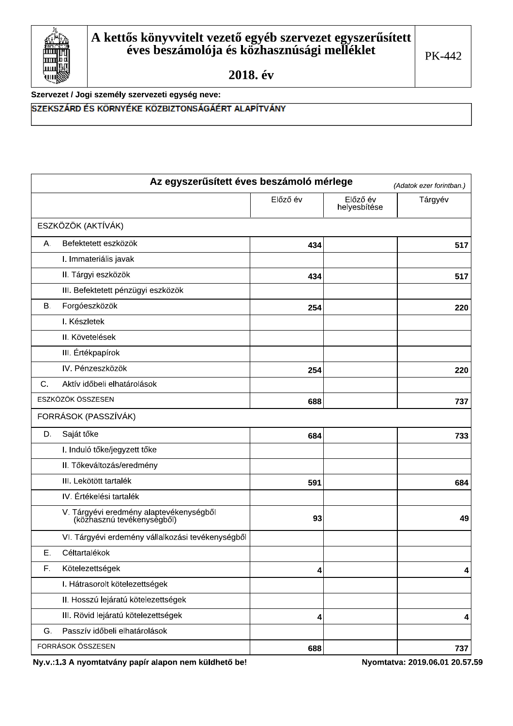

Szervezet / Jogi személy szervezeti egység neve:

# SZEKSZÁRD ÉS KÖRNYÉKE KÖZBIZTONSÁGÁÉRT ALAPÍTVÁNY

|    | Az egyszerűsített éves beszámoló mérlege                              |          |                          | (Adatok ezer forintban.) |
|----|-----------------------------------------------------------------------|----------|--------------------------|--------------------------|
|    |                                                                       | Előző év | Előző év<br>helyesbítése | Tárgyév                  |
|    | ESZKÖZÖK (AKTÍVÁK)                                                    |          |                          |                          |
| А. | Befektetett eszközök                                                  | 434      |                          | 517                      |
|    | I. Immateriális javak                                                 |          |                          |                          |
|    | II. Tárgyi eszközök                                                   | 434      |                          | 517                      |
|    | III. Befektetett pénzügyi eszközök                                    |          |                          |                          |
| В. | Forgóeszközök                                                         | 254      |                          | 220                      |
|    | I. Készletek                                                          |          |                          |                          |
|    | II. Követelések                                                       |          |                          |                          |
|    | III. Értékpapírok                                                     |          |                          |                          |
|    | IV. Pénzeszközök                                                      | 254      |                          | 220                      |
| C. | Aktív időbeli elhatárolások                                           |          |                          |                          |
|    | ESZKÖZÖK ÖSSZESEN                                                     | 688      |                          | 737                      |
|    | FORRÁSOK (PASSZÍVÁK)                                                  |          |                          |                          |
| D. | Saját tőke                                                            | 684      |                          | 733                      |
|    | I. Induló tőke/jegyzett tőke                                          |          |                          |                          |
|    | II. Tőkeváltozás/eredmény                                             |          |                          |                          |
|    | III. Lekötött tartalék                                                | 591      |                          | 684                      |
|    | IV. Értékelési tartalék                                               |          |                          |                          |
|    | V. Tárgyévi eredmény alaptevékenységből<br>(közhasznú tevékénységből) | 93       |                          | 49                       |
|    | VI. Tárgyévi erdemény vállalkozási tevékenységből                     |          |                          |                          |
| Ε. | Céltartalékok                                                         |          |                          |                          |
| F. | Kötelezettségek                                                       | 4        |                          | $\overline{\mathbf{4}}$  |
|    | I. Hátrasorolt kötelezettségek                                        |          |                          |                          |
|    | II. Hosszú lejáratú kötelezettségek                                   |          |                          |                          |
|    | III. Rövid lejáratú kötelezettségek                                   | 4        |                          | 4                        |
| G. | Passzív időbeli elhatárolások                                         |          |                          |                          |
|    | FORRÁSOK ÖSSZESEN                                                     | 688      |                          | 737                      |

Ny.v.:1.3 A nyomtatvány papír alapon nem küldhető be!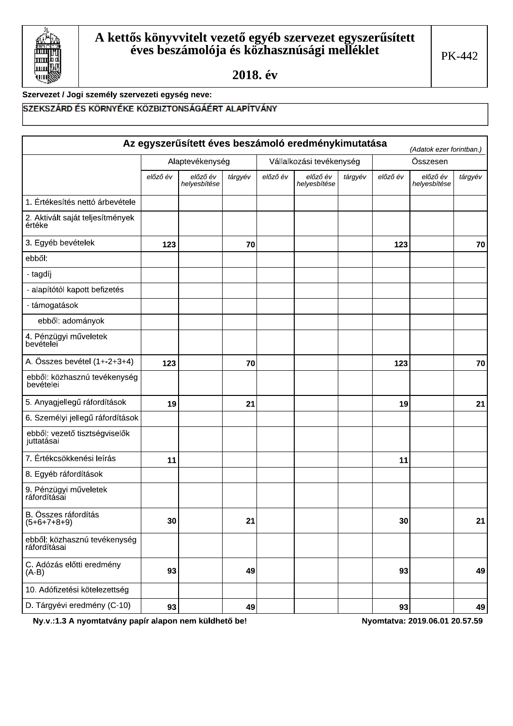

### Szervezet / Jogi személy szervezeti egység neve:

## SZEKSZÁRD ÉS KÖRNYÉKE KÖZBIZTONSÁGÁÉRT ALAPÍTVÁNY

|                                              |          |                          |         |          | Az egyszerűsített éves beszámoló eredménykimutatása |         |          | (Adatok ezer forintban.) |         |
|----------------------------------------------|----------|--------------------------|---------|----------|-----------------------------------------------------|---------|----------|--------------------------|---------|
|                                              |          | Alaptevékenység          |         |          | Vállalkozási tevékenység                            |         |          | Összesen                 |         |
|                                              | előző év | előző év<br>helyesbítése | tárgyév | előző év | előző év<br>helyesbítése                            | tárgyév | előző év | előző év<br>helyesbítése | tárgyév |
| 1. Értékesítés nettó árbevétele              |          |                          |         |          |                                                     |         |          |                          |         |
| 2. Aktivált saját teljesítmények<br>értéke   |          |                          |         |          |                                                     |         |          |                          |         |
| 3. Egyéb bevételek                           | 123      |                          | 70      |          |                                                     |         | 123      |                          | 70      |
| ebből:                                       |          |                          |         |          |                                                     |         |          |                          |         |
| - tagdíj                                     |          |                          |         |          |                                                     |         |          |                          |         |
| - alapítótól kapott befizetés                |          |                          |         |          |                                                     |         |          |                          |         |
| - támogatások                                |          |                          |         |          |                                                     |         |          |                          |         |
| ebből: adományok                             |          |                          |         |          |                                                     |         |          |                          |         |
| 4. Pénzügyi műveletek<br>bevételei           |          |                          |         |          |                                                     |         |          |                          |         |
| A. Összes bevétel (1+-2+3+4)                 | 123      |                          | 70      |          |                                                     |         | 123      |                          | 70      |
| ebből: közhasznú tevékenység<br>bevételei    |          |                          |         |          |                                                     |         |          |                          |         |
| 5. Anyagjellegű ráfordítások                 | 19       |                          | 21      |          |                                                     |         | 19       |                          | 21      |
| 6. Személyi jellegű ráfordítások             |          |                          |         |          |                                                     |         |          |                          |         |
| ebből: vezető tisztségviselők<br>juttatásai  |          |                          |         |          |                                                     |         |          |                          |         |
| 7. Értékcsökkenési leírás                    | 11       |                          |         |          |                                                     |         | 11       |                          |         |
| 8. Egyéb ráfordítások                        |          |                          |         |          |                                                     |         |          |                          |         |
| 9. Pénzügyi műveletek<br>ráfordításai        |          |                          |         |          |                                                     |         |          |                          |         |
| B. Összes ráfordítás<br>$(5+6+7+8+9)$        | 30       |                          | 21      |          |                                                     |         | 30       |                          | 21      |
| ebből: közhasznú tevékenység<br>ráfordításai |          |                          |         |          |                                                     |         |          |                          |         |
| C. Adózás előtti eredmény<br>$(A-B)$         | 93       |                          | 49      |          |                                                     |         | 93       |                          | 49      |
| 10. Adófizetési kötelezettség                |          |                          |         |          |                                                     |         |          |                          |         |
| D. Tárgyévi eredmény (C-10)                  | 93       |                          | 49      |          |                                                     |         | 93       |                          | 49      |

Ny.v.:1.3 A nyomtatvány papír alapon nem küldhető be!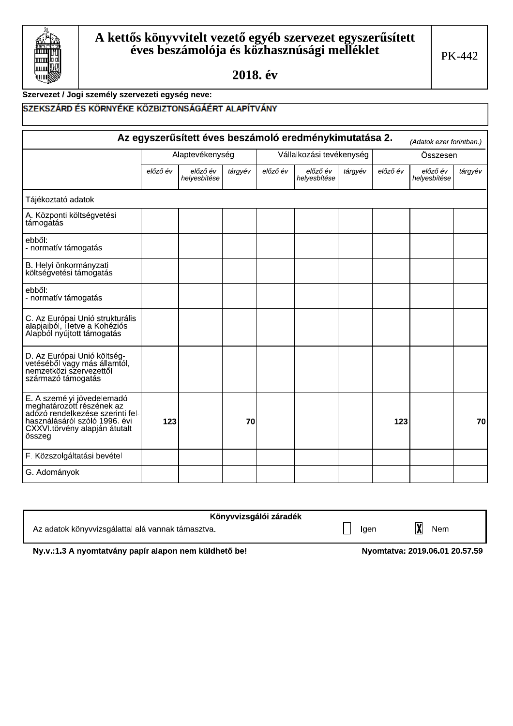

# Szervezet / Jogi személy szervezeti egység neve:

## SZEKSZÁRD ÉS KÖRNYÉKE KÖZBIZTONSÁGÁÉRT ALAPÍTVÁNY

|                                                                                                                                                                         | Az egyszerűsített éves beszámoló eredménykimutatása 2.<br>(Adatok ezer forintban.) |                          |         |          |                          |         |          |                          |         |
|-------------------------------------------------------------------------------------------------------------------------------------------------------------------------|------------------------------------------------------------------------------------|--------------------------|---------|----------|--------------------------|---------|----------|--------------------------|---------|
|                                                                                                                                                                         |                                                                                    | Alaptevékenység          |         |          | Vállalkozási tevékenység |         |          | Összesen                 |         |
|                                                                                                                                                                         | előző év                                                                           | előző év<br>helyesbítése | tárgyév | előző év | előző év<br>helyesbítése | tárgyév | előző év | előző év<br>helyesbítése | tárgyév |
| Tájékoztató adatok                                                                                                                                                      |                                                                                    |                          |         |          |                          |         |          |                          |         |
| A. Központi költségvetési<br>támogatás                                                                                                                                  |                                                                                    |                          |         |          |                          |         |          |                          |         |
| ebből:<br>- normatív támogatás                                                                                                                                          |                                                                                    |                          |         |          |                          |         |          |                          |         |
| B. Helyi önkormányzati<br>költségvetési támogatás                                                                                                                       |                                                                                    |                          |         |          |                          |         |          |                          |         |
| ebből:<br>- normatív támogatás                                                                                                                                          |                                                                                    |                          |         |          |                          |         |          |                          |         |
| C. Az Európai Unió strukturális<br>alapjaiból, illetve a Kohéziós<br>Alapból nyújtott támogatás                                                                         |                                                                                    |                          |         |          |                          |         |          |                          |         |
| D. Az Európai Unió költség-<br>vetéséből vagy más államtól,<br>nemzetközi szervezettől<br>származó támogatás                                                            |                                                                                    |                          |         |          |                          |         |          |                          |         |
| E. A személyi jövedelemadó<br>meghatározott részének az<br>adózó rendelkezése szerinti fel-<br>használásáról szóló 1996. évi<br>CXXVI.törvény alapján átutalt<br>összeg | 123                                                                                |                          | 70      |          |                          |         | 123      |                          | 70      |
| F. Közszolgáltatási bevétel                                                                                                                                             |                                                                                    |                          |         |          |                          |         |          |                          |         |
| G. Adományok                                                                                                                                                            |                                                                                    |                          |         |          |                          |         |          |                          |         |

| Könyvvizsgálói záradék                            |      |     |
|---------------------------------------------------|------|-----|
| Az adatok könyvvizsgálattal alá vannak támasztva. | laen | Nem |

Ny.v.:1.3 A nyomtatvány papír alapon nem küldhető be!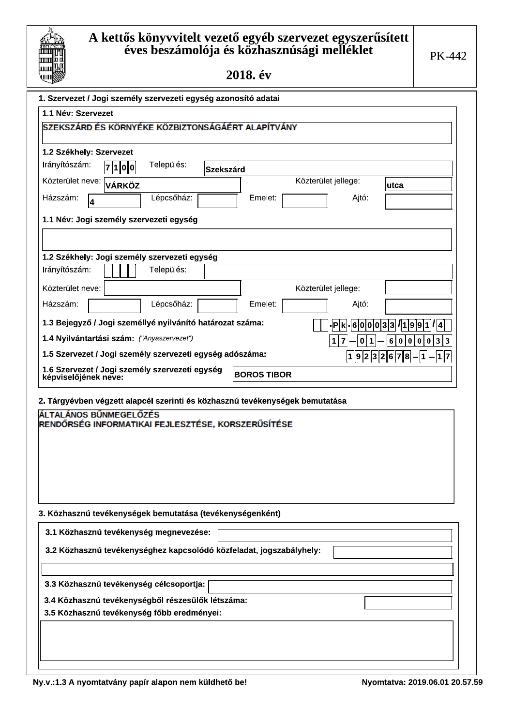| ш       |
|---------|
|         |
| Ш       |
| Ш       |
|         |
| d<br>UΙ |
|         |

# A kettős könyvvitelt vezető egyéb szervezet egyszerűsített<br>éves beszámolója és közhasznúsági melléklet

2018. év

| 1. Szervezet / Jogi személy szervezeti egység azonosító adatai               |                    |                     |                                           |
|------------------------------------------------------------------------------|--------------------|---------------------|-------------------------------------------|
| 1.1 Név: Szervezet                                                           |                    |                     |                                           |
| SZEKSZÁRD ÉS KÖRNYÉKE KÖZBIZTONSÁGÁÉRT ALAPÍTVÁNY                            |                    |                     |                                           |
| 1.2 Székhely: Szervezet                                                      |                    |                     |                                           |
| Irányítószám:<br>Település:<br> 7 1 0  0                                     | <b>Szekszárd</b>   |                     |                                           |
| Közterület neve: [<br><b>VÁRKÖZ</b>                                          |                    | Közterület jellege: | utca                                      |
| Lépcsőház:<br>Házszám:<br>4                                                  | Emelet:            | Ajtó:               |                                           |
|                                                                              |                    |                     |                                           |
| 1.1 Név: Jogi személy szervezeti egység                                      |                    |                     |                                           |
|                                                                              |                    |                     |                                           |
| 1.2 Székhely: Jogi személy szervezeti egység                                 |                    |                     |                                           |
| Irányítószám:<br>Település:                                                  |                    |                     |                                           |
| Közterület neve:                                                             |                    | Közterület jellege: |                                           |
| Házszám:<br>Lépcsőház:                                                       | Emelet:            | Ajtó:               |                                           |
| 1.3 Bejegyző / Jogi személlyé nyilvánító határozat száma:                    |                    | $ {\mathsf P} $ k   | 6 0 0 0 3 3  1 9 9 1  4                   |
| 1.4 Nyilvántartási szám: ("Anyaszervezet")                                   |                    | 1<br>11<br>0        | 0 3 3<br> 0 0 <br>$ 0\rangle$<br>$6 \mid$ |
| 1.5 Szervezet / Jogi személy szervezeti egység adószáma:                     |                    |                     | $ 1 9 2 3 2 6 7 8 - 1 - 1 7$              |
| 1.6 Szervezet / Jogi személy szervezeti egység<br>képviselőjének neve:       | <b>BOROS TIBOR</b> |                     |                                           |
|                                                                              |                    |                     |                                           |
| 2. Tárgyévben végzett alapcél szerinti és közhasznú tevékenységek bemutatása |                    |                     |                                           |
| ÁLTALÁNOS BŰNMEGELŐZÉS<br>RENDŐRSÉG INFORMATIKAI FEJLESZTÉSE, KORSZERŰSÍTÉSE |                    |                     |                                           |
|                                                                              |                    |                     |                                           |
|                                                                              |                    |                     |                                           |
|                                                                              |                    |                     |                                           |
|                                                                              |                    |                     |                                           |
|                                                                              |                    |                     |                                           |
| 3. Közhasznú tevékenységek bemutatása (tevékenységenként)                    |                    |                     |                                           |
| 3.1 Közhasznú tevékenység megnevezése:                                       |                    |                     |                                           |
|                                                                              |                    |                     |                                           |
| 3.2 Közhasznú tevékenységhez kapcsolódó közfeladat, jogszabályhely:          |                    |                     |                                           |
|                                                                              |                    |                     |                                           |
| 3.3 Közhasznú tevékenység célcsoportja:                                      |                    |                     |                                           |
| 3.4 Közhasznú tevékenységből részesülők létszáma:                            |                    |                     |                                           |
| 3.5 Közhasznú tevékenység főbb eredményei:                                   |                    |                     |                                           |
|                                                                              |                    |                     |                                           |
|                                                                              |                    |                     |                                           |
|                                                                              |                    |                     |                                           |